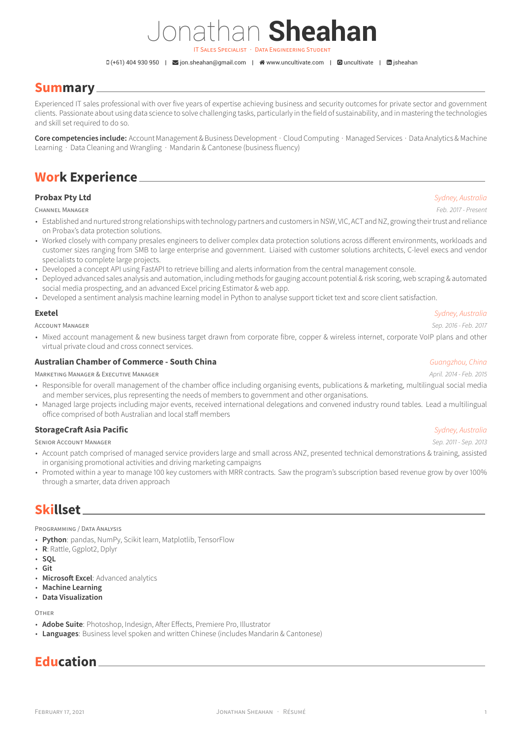# Jonathan **Sheahan**

IT SALES SPECIALIST · DATA ENGINEERING STUDENT

 $G(+61)$  404 930 950 |  $\blacktriangleright$  [jon.sheahan@gmail.com](mailto:jon.sheahan@gmail.com) |  $\blacktriangleleft$  [www.uncultivate.com](http://www.uncultivate.com) |  $\blacktriangleright$  [uncultivate](https://github.com/uncultivate) |  $\blacktriangleright$  isheahan

### **Summary**

Experienced IT sales professional with over five years of expertise achieving business and security outcomes for private sector and government clients. Passionate about using data science to solve challenging tasks, particularly in the field of sustainability, and in mastering the technologies and skill set required to do so.

**Core competencies include:** Account Management & Business Development · Cloud Computing · Managed Services · Data Analytics & Machine Learning · Data Cleaning and Wrangling · Mandarin & Cantonese (business fluency)

## **Work Experience**

### **Probax Pty Ltd** *Sydney, Australia*

CHANNEL MANAGER *Feb. 2017 - Present*

- Established and nurtured strong relationships with technology partners and customers in NSW, VIC, ACT and NZ, growing their trust and reliance on Probax's data protection solutions.
- Worked closely with company presales engineers to deliver complex data protection solutions across different environments, workloads and customer sizes ranging from SMB to large enterprise and government. Liaised with customer solutions architects, C-level execs and vendor specialists to complete large projects.
- Developed a concept API using FastAPI to retrieve billing and alerts information from the central management console.
- Deployed advanced sales analysis and automation, including methods for gauging account potential & risk scoring, web scraping & automated social media prospecting, and an advanced Excel pricing Estimator & web app.
- Developed a sentiment analysis machine learning model in Python to analyse support ticket text and score client satisfaction.

### **Exetel** *Sydney, Australia*

ACCOUNT MANAGER *Sep. 2016 - Feb. 2017*

• Mixed account management & new business target drawn from corporate fibre, copper & wireless internet, corporate VoIP plans and other virtual private cloud and cross connect services.

#### **Australian Chamber of Commerce - South China** *Guangzhou, China*

MARKETING MANAGER & EXECUTIVE MANAGER *April. 2014 - Feb. 2015*

- Responsible for overall management of the chamber office including organising events, publications & marketing, multilingual social media and member services, plus representing the needs of members to government and other organisations.
- Managed large projects including major events, received international delegations and convened industry round tables. Lead a multilingual office comprised of both Australian and local staff members

#### **StorageCraft Asia Pacific** *Sydney, Australia*

SENIOR ACCOUNT MANAGER *Sep. 2011 - Sep. 2013*

- Account patch comprised of managed service providers large and small across ANZ, presented technical demonstrations & training, assisted in organising promotional activities and driving marketing campaigns
- Promoted within a year to manage 100 key customers with MRR contracts. Saw the program's subscription based revenue grow by over 100% through a smarter, data driven approach

### **Skillset**

PROGRAMMING / DATA ANALYSIS

- **Python**: pandas, NumPy, Scikit learn, Matplotlib, TensorFlow
- **R**: Rattle, Ggplot2, Dplyr
- **SQL**
- **Git**
- **Microsoft Excel**: Advanced analytics
- **Machine Learning**
- **Data Visualization**

OTHER

- **Adobe Suite**: Photoshop, Indesign, After Effects, Premiere Pro, Illustrator
- **Languages**: Business level spoken and written Chinese (includes Mandarin & Cantonese)

## **Education**